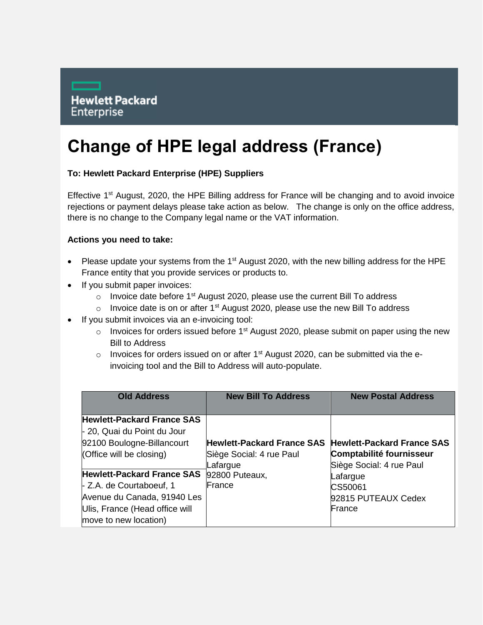## **Change of HPE legal address (France)**

## **To: Hewlett Packard Enterprise (HPE) Suppliers**

Effective 1<sup>st</sup> August, 2020, the HPE Billing address for France will be changing and to avoid invoice rejections or payment delays please take action as below. The change is only on the office address, there is no change to the Company legal name or the VAT information.

## **Actions you need to take:**

- Please update your systems from the 1<sup>st</sup> August 2020, with the new billing address for the HPE France entity that you provide services or products to.
- If you submit paper invoices:
	- o Invoice date before  $1<sup>st</sup>$  August 2020, please use the current Bill To address
	- o Invoice date is on or after  $1<sup>st</sup>$  August 2020, please use the new Bill To address
- If you submit invoices via an e-invoicing tool:
	- $\circ$  Invoices for orders issued before 1<sup>st</sup> August 2020, please submit on paper using the new Bill to Address
	- o Invoices for orders issued on or after  $1<sup>st</sup>$  August 2020, can be submitted via the einvoicing tool and the Bill to Address will auto-populate.

| <b>Old Address</b>                | <b>New Bill To Address</b>        | <b>New Postal Address</b>         |
|-----------------------------------|-----------------------------------|-----------------------------------|
|                                   |                                   |                                   |
| <b>Hewlett-Packard France SAS</b> |                                   |                                   |
| - 20, Quai du Point du Jour       |                                   |                                   |
| 92100 Boulogne-Billancourt        | <b>Hewlett-Packard France SAS</b> | <b>Hewlett-Packard France SAS</b> |
| (Office will be closing)          | Siège Social: 4 rue Paul          | Comptabilité fournisseur          |
|                                   | Lafargue                          | Siège Social: 4 rue Paul          |
| <b>Hewlett-Packard France SAS</b> | 92800 Puteaux,                    | Lafargue                          |
| - Z.A. de Courtaboeuf, 1          | lFrance                           | CS50061                           |
| Avenue du Canada, 91940 Les       |                                   | 92815 PUTEAUX Cedex               |
| Ulis, France (Head office will    |                                   | <b>IFrance</b>                    |
| move to new location)             |                                   |                                   |